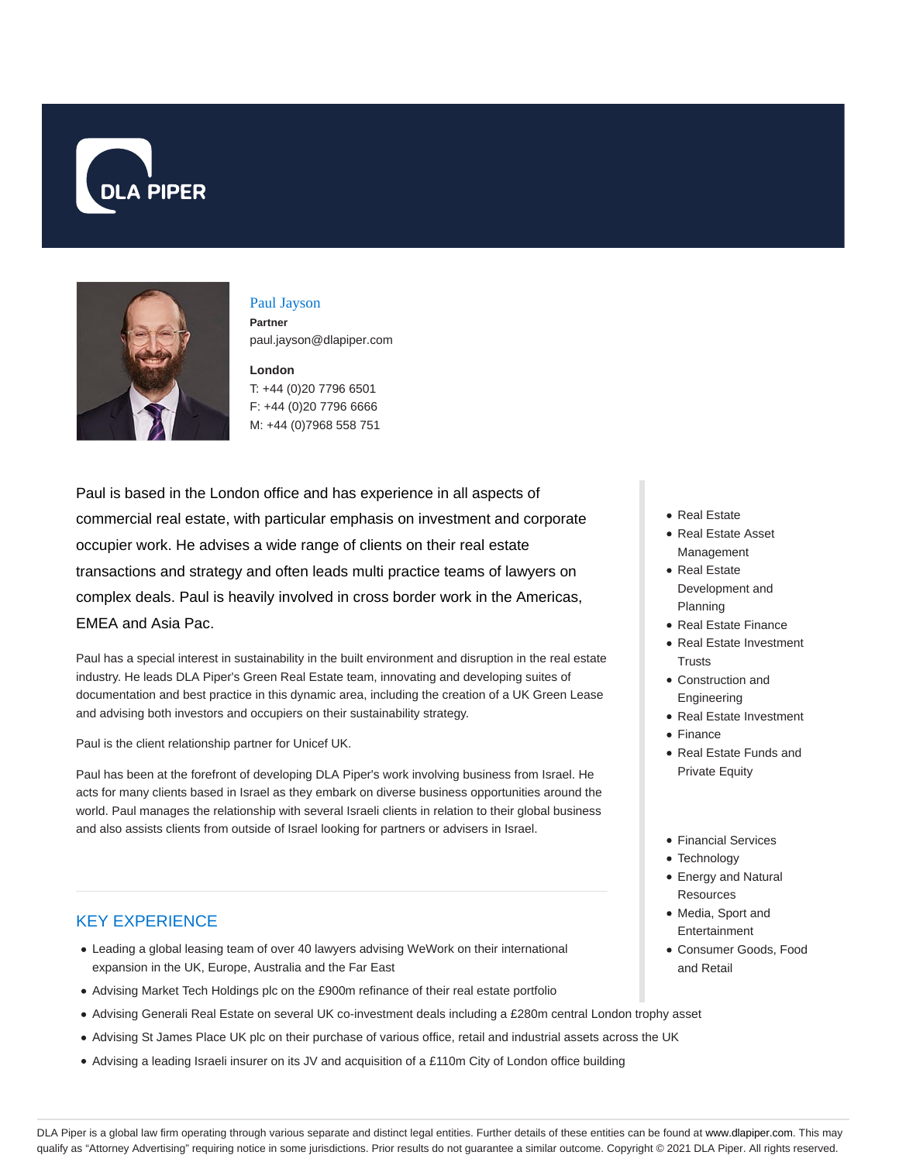



### Paul Jayson **Partner** paul.jayson@dlapiper.com

**London** T: +44 (0)20 7796 6501 F: +44 (0)20 7796 6666 M: +44 (0)7968 558 751

Paul is based in the London office and has experience in all aspects of commercial real estate, with particular emphasis on investment and corporate occupier work. He advises a wide range of clients on their real estate transactions and strategy and often leads multi practice teams of lawyers on complex deals. Paul is heavily involved in cross border work in the Americas, EMEA and Asia Pac.

Paul has a special interest in sustainability in the built environment and disruption in the real estate industry. He leads DLA Piper's Green Real Estate team, innovating and developing suites of documentation and best practice in this dynamic area, including the creation of a UK Green Lease and advising both investors and occupiers on their sustainability strategy.

Paul is the client relationship partner for Unicef UK.

Paul has been at the forefront of developing DLA Piper's work involving business from Israel. He acts for many clients based in Israel as they embark on diverse business opportunities around the world. Paul manages the relationship with several Israeli clients in relation to their global business and also assists clients from outside of Israel looking for partners or advisers in Israel.

## KEY EXPERIENCE

- Leading a global leasing team of over 40 lawyers advising WeWork on their international expansion in the UK, Europe, Australia and the Far East
- Advising Market Tech Holdings plc on the £900m refinance of their real estate portfolio
- Advising Generali Real Estate on several UK co-investment deals including a £280m central London trophy asset
- Advising St James Place UK plc on their purchase of various office, retail and industrial assets across the UK
- Advising a leading Israeli insurer on its JV and acquisition of a £110m City of London office building
- Real Estate
- Real Estate Asset Management
- Real Estate Development and Planning
- Real Estate Finance
- Real Estate Investment **Trusts**
- Construction and Engineering
- Real Estate Investment
- Finance
- Real Estate Funds and Private Equity
- Financial Services
- Technology
- Energy and Natural **Resources**
- Media, Sport and Entertainment
- Consumer Goods, Food and Retail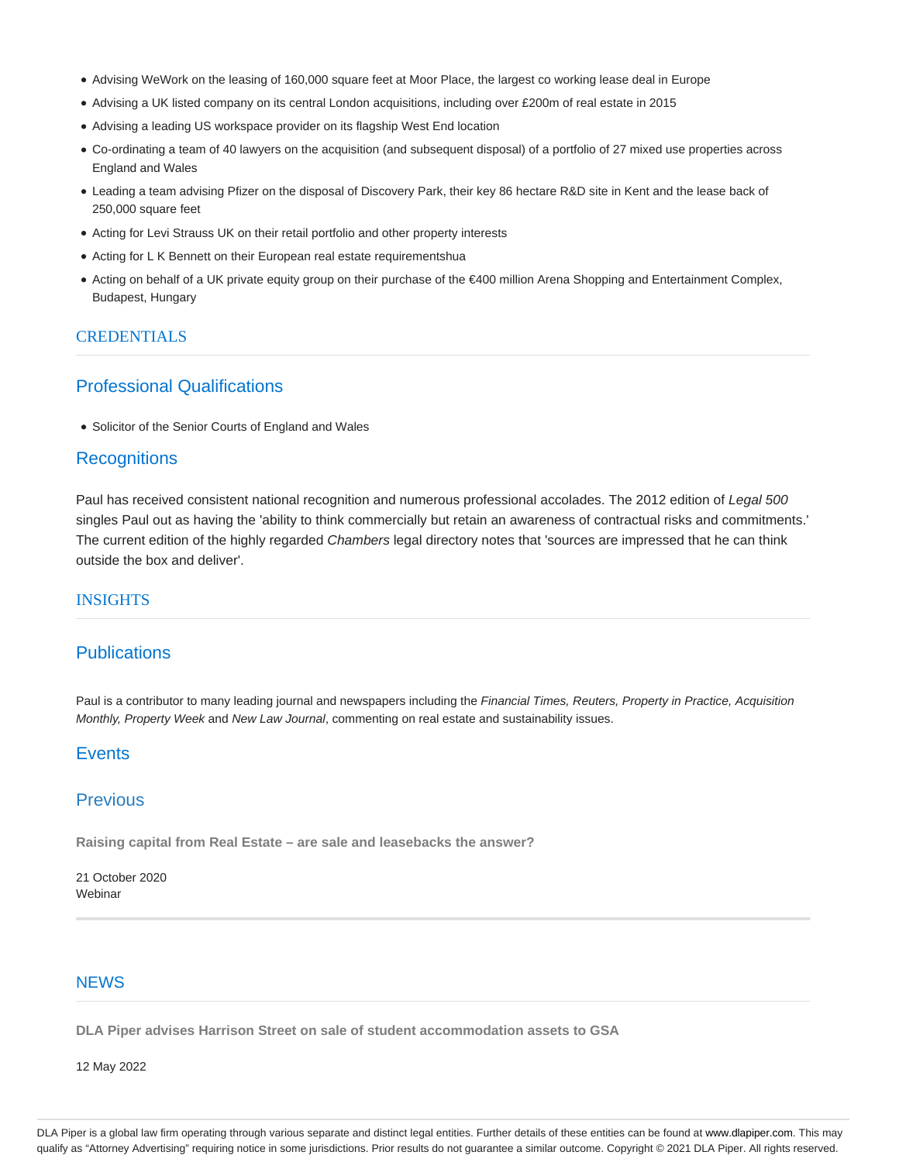- Advising WeWork on the leasing of 160,000 square feet at Moor Place, the largest co working lease deal in Europe
- Advising a UK listed company on its central London acquisitions, including over £200m of real estate in 2015
- Advising a leading US workspace provider on its flagship West End location
- Co-ordinating a team of 40 lawyers on the acquisition (and subsequent disposal) of a portfolio of 27 mixed use properties across England and Wales
- Leading a team advising Pfizer on the disposal of Discovery Park, their key 86 hectare R&D site in Kent and the lease back of 250,000 square feet
- Acting for Levi Strauss UK on their retail portfolio and other property interests
- Acting for L K Bennett on their European real estate requirementshua
- Acting on behalf of a UK private equity group on their purchase of the €400 million Arena Shopping and Entertainment Complex, Budapest, Hungary

#### **CREDENTIALS**

# Professional Qualifications

• Solicitor of the Senior Courts of England and Wales

### **Recognitions**

Paul has received consistent national recognition and numerous professional accolades. The 2012 edition of Legal 500 singles Paul out as having the 'ability to think commercially but retain an awareness of contractual risks and commitments.' The current edition of the highly regarded Chambers legal directory notes that 'sources are impressed that he can think outside the box and deliver'.

#### **INSIGHTS**

## **Publications**

Paul is a contributor to many leading journal and newspapers including the Financial Times, Reuters, Property in Practice, Acquisition Monthly, Property Week and New Law Journal, commenting on real estate and sustainability issues.

# **Events**

### Previous

**Raising capital from Real Estate – are sale and leasebacks the answer?**

21 October 2020 Webinar

### **NEWS**

**DLA Piper advises Harrison Street on sale of student accommodation assets to GSA**

12 May 2022

DLA Piper is a global law firm operating through various separate and distinct legal entities. Further details of these entities can be found at www.dlapiper.com. This may qualify as "Attorney Advertising" requiring notice in some jurisdictions. Prior results do not guarantee a similar outcome. Copyright @ 2021 DLA Piper. All rights reserved.